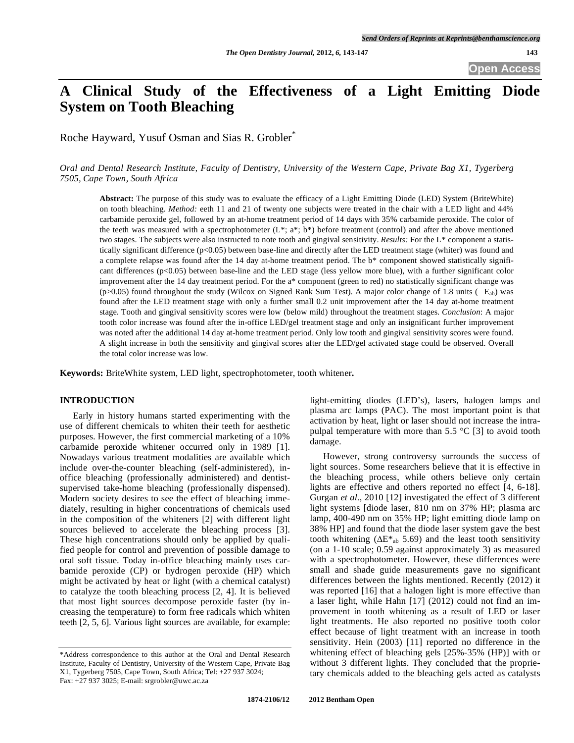# **A Clinical Study of the Effectiveness of a Light Emitting Diode System on Tooth Bleaching**

Roche Hayward, Yusuf Osman and Sias R. Grobler\*

*Oral and Dental Research Institute, Faculty of Dentistry, University of the Western Cape, Private Bag X1, Tygerberg 7505, Cape Town, South Africa* 

**Abstract:** The purpose of this study was to evaluate the efficacy of a Light Emitting Diode (LED) System (BriteWhite) on tooth bleaching. *Method:* eeth 11 and 21 of twenty one subjects were treated in the chair with a LED light and 44% carbamide peroxide gel, followed by an at-home treatment period of 14 days with 35% carbamide peroxide. The color of the teeth was measured with a spectrophotometer  $(L^*, a^*, b^*)$  before treatment (control) and after the above mentioned two stages. The subjects were also instructed to note tooth and gingival sensitivity. *Results:* For the L\* component a statistically significant difference (p<0.05) between base-line and directly after the LED treatment stage (whiter) was found and a complete relapse was found after the 14 day at-home treatment period. The b\* component showed statistically significant differences  $(p<0.05)$  between base-line and the LED stage (less yellow more blue), with a further significant color improvement after the 14 day treatment period. For the a\* component (green to red) no statistically significant change was (p>0.05) found throughout the study (Wilcox on Signed Rank Sum Test). A major color change of 1.8 units ( $E_{ab}$ ) was found after the LED treatment stage with only a further small 0.2 unit improvement after the 14 day at-home treatment stage. Tooth and gingival sensitivity scores were low (below mild) throughout the treatment stages. *Conclusion*: A major tooth color increase was found after the in-office LED/gel treatment stage and only an insignificant further improvement was noted after the additional 14 day at-home treatment period. Only low tooth and gingival sensitivity scores were found. A slight increase in both the sensitivity and gingival scores after the LED/gel activated stage could be observed. Overall the total color increase was low.

**Keywords:** BriteWhite system, LED light, spectrophotometer, tooth whitener**.**

# **INTRODUCTION**

Early in history humans started experimenting with the use of different chemicals to whiten their teeth for aesthetic purposes. However, the first commercial marketing of a 10% carbamide peroxide whitener occurred only in 1989 [1]. Nowadays various treatment modalities are available which include over-the-counter bleaching (self-administered), inoffice bleaching (professionally administered) and dentistsupervised take-home bleaching (professionally dispensed). Modern society desires to see the effect of bleaching immediately, resulting in higher concentrations of chemicals used in the composition of the whiteners [2] with different light sources believed to accelerate the bleaching process [3]. These high concentrations should only be applied by qualified people for control and prevention of possible damage to oral soft tissue. Today in-office bleaching mainly uses carbamide peroxide (CP) or hydrogen peroxide (HP) which might be activated by heat or light (with a chemical catalyst) to catalyze the tooth bleaching process [2, 4]. It is believed that most light sources decompose peroxide faster (by increasing the temperature) to form free radicals which whiten teeth [2, 5, 6]. Various light sources are available, for example:

light-emitting diodes (LED's), lasers, halogen lamps and plasma arc lamps (PAC). The most important point is that activation by heat, light or laser should not increase the intrapulpal temperature with more than 5.5 °C [3] to avoid tooth damage.

However, strong controversy surrounds the success of light sources. Some researchers believe that it is effective in the bleaching process, while others believe only certain lights are effective and others reported no effect [4, 6-18]. Gurgan *et al*., 2010 [12] investigated the effect of 3 different light systems [diode laser, 810 nm on 37% HP; plasma arc lamp, 400-490 nm on 35% HP; light emitting diode lamp on 38% HP] and found that the diode laser system gave the best tooth whitening  $(\Delta E^*_{ab} 5.69)$  and the least tooth sensitivity (on a 1-10 scale; 0.59 against approximately 3) as measured with a spectrophotometer. However, these differences were small and shade guide measurements gave no significant differences between the lights mentioned. Recently (2012) it was reported [16] that a halogen light is more effective than a laser light, while Hahn [17] (2012) could not find an improvement in tooth whitening as a result of LED or laser light treatments. He also reported no positive tooth color effect because of light treatment with an increase in tooth sensitivity. Hein (2003) [11] reported no difference in the whitening effect of bleaching gels [25%-35% (HP)] with or without 3 different lights. They concluded that the proprietary chemicals added to the bleaching gels acted as catalysts

<sup>\*</sup>Address correspondence to this author at the Oral and Dental Research Institute, Faculty of Dentistry, University of the Western Cape, Private Bag X1, Tygerberg 7505, Cape Town, South Africa; Tel: +27 937 3024; Fax: +27 937 3025; E-mail: srgrobler@uwc.ac.za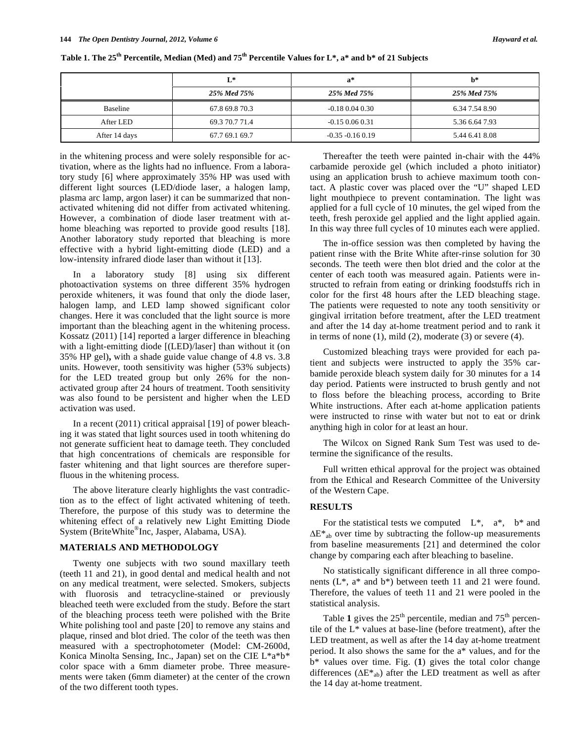|               | $L^*$          | $\mathbf{a}^*$      | h*             |
|---------------|----------------|---------------------|----------------|
|               | 25% Med 75%    | 25% Med 75%         | 25% Med 75%    |
| Baseline      | 67.8 69.8 70.3 | $-0.18$ 0.04 0.30   | 6.34 7.54 8.90 |
| After LED     | 69.3 70.7 71.4 | $-0.15$ 0.06 0.31   | 5.36 6.64 7.93 |
| After 14 days | 67.7 69.1 69.7 | $-0.35 - 0.16 0.19$ | 5.44 6.41 8.08 |

**Table 1. The 25th Percentile, Median (Med) and 75th Percentile Values for L\*, a\* and b\* of 21 Subjects** 

in the whitening process and were solely responsible for activation, where as the lights had no influence. From a laboratory study [6] where approximately 35% HP was used with different light sources (LED/diode laser, a halogen lamp, plasma arc lamp, argon laser) it can be summarized that nonactivated whitening did not differ from activated whitening. However, a combination of diode laser treatment with athome bleaching was reported to provide good results [18]. Another laboratory study reported that bleaching is more effective with a hybrid light-emitting diode (LED) and a low-intensity infrared diode laser than without it [13].

In a laboratory study [8] using six different photoactivation systems on three different 35% hydrogen peroxide whiteners, it was found that only the diode laser, halogen lamp, and LED lamp showed significant color changes. Here it was concluded that the light source is more important than the bleaching agent in the whitening process. Kossatz (2011) [14] reported a larger difference in bleaching with a light-emitting diode [(LED)/laser] than without it (on 35% HP gel)**,** with a shade guide value change of 4.8 vs. 3.8 units. However, tooth sensitivity was higher (53% subjects) for the LED treated group but only 26% for the nonactivated group after 24 hours of treatment. Tooth sensitivity was also found to be persistent and higher when the LED activation was used.

In a recent (2011) critical appraisal [19] of power bleaching it was stated that light sources used in tooth whitening do not generate sufficient heat to damage teeth. They concluded that high concentrations of chemicals are responsible for faster whitening and that light sources are therefore superfluous in the whitening process.

The above literature clearly highlights the vast contradiction as to the effect of light activated whitening of teeth. Therefore, the purpose of this study was to determine the whitening effect of a relatively new Light Emitting Diode System (BriteWhite®Inc, Jasper, Alabama, USA).

# **MATERIALS AND METHODOLOGY**

Twenty one subjects with two sound maxillary teeth (teeth 11 and 21), in good dental and medical health and not on any medical treatment, were selected. Smokers, subjects with fluorosis and tetracycline-stained or previously bleached teeth were excluded from the study. Before the start of the bleaching process teeth were polished with the Brite White polishing tool and paste [20] to remove any stains and plaque, rinsed and blot dried. The color of the teeth was then measured with a spectrophotometer (Model: CM-2600d, Konica Minolta Sensing, Inc., Japan) set on the CIE L\*a\*b\* color space with a 6mm diameter probe. Three measurements were taken (6mm diameter) at the center of the crown of the two different tooth types.

Thereafter the teeth were painted in-chair with the 44% carbamide peroxide gel (which included a photo initiator) using an application brush to achieve maximum tooth contact. A plastic cover was placed over the "U" shaped LED light mouthpiece to prevent contamination. The light was applied for a full cycle of 10 minutes, the gel wiped from the teeth, fresh peroxide gel applied and the light applied again. In this way three full cycles of 10 minutes each were applied.

The in-office session was then completed by having the patient rinse with the Brite White after-rinse solution for 30 seconds. The teeth were then blot dried and the color at the center of each tooth was measured again. Patients were instructed to refrain from eating or drinking foodstuffs rich in color for the first 48 hours after the LED bleaching stage. The patients were requested to note any tooth sensitivity or gingival irritation before treatment, after the LED treatment and after the 14 day at-home treatment period and to rank it in terms of none  $(1)$ , mild  $(2)$ , moderate  $(3)$  or severe  $(4)$ .

Customized bleaching trays were provided for each patient and subjects were instructed to apply the 35% carbamide peroxide bleach system daily for 30 minutes for a 14 day period. Patients were instructed to brush gently and not to floss before the bleaching process, according to Brite White instructions. After each at-home application patients were instructed to rinse with water but not to eat or drink anything high in color for at least an hour.

The Wilcox on Signed Rank Sum Test was used to determine the significance of the results.

Full written ethical approval for the project was obtained from the Ethical and Research Committee of the University of the Western Cape.

# **RESULTS**

For the statistical tests we computed  $L^*$ ,  $a^*$ ,  $b^*$  and  $\Delta E^*$ <sub>ab</sub> over time by subtracting the follow-up measurements from baseline measurements [21] and determined the color change by comparing each after bleaching to baseline.

No statistically significant difference in all three components (L\*, a\* and b\*) between teeth 11 and 21 were found. Therefore, the values of teeth 11 and 21 were pooled in the statistical analysis.

Table 1 gives the 25<sup>th</sup> percentile, median and 75<sup>th</sup> percentile of the L\* values at base-line (before treatment), after the LED treatment, as well as after the 14 day at-home treatment period. It also shows the same for the a\* values, and for the b\* values over time. Fig. (**1**) gives the total color change differences ( $\Delta E^*$ <sub>ab</sub>) after the LED treatment as well as after the 14 day at-home treatment.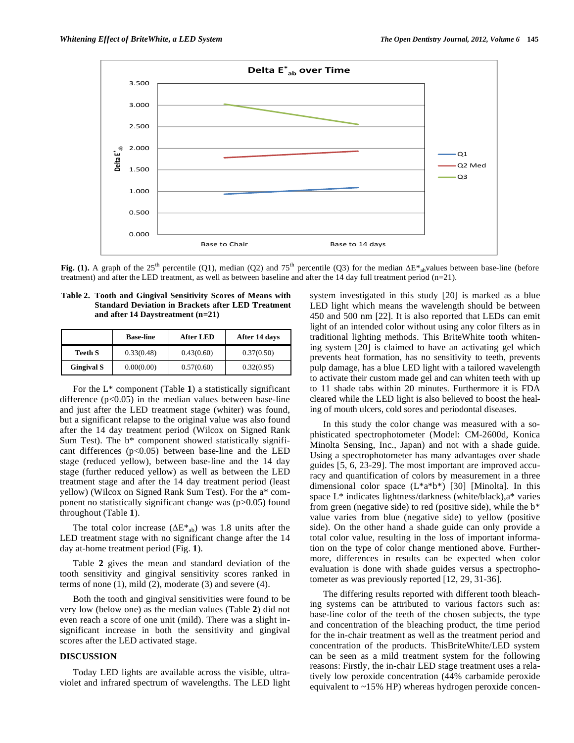

Fig. (1). A graph of the 25<sup>th</sup> percentile (Q1), median (Q2) and 75<sup>th</sup> percentile (Q3) for the median  $\Delta E^*$ <sub>ab</sub>values between base-line (before treatment) and after the LED treatment, as well as between baseline and after the 14 day full treatment period (n=21).

| Table 2. Tooth and Gingival Sensitivity Scores of Means with |  |  |  |  |
|--------------------------------------------------------------|--|--|--|--|
| <b>Standard Deviation in Brackets after LED Treatment</b>    |  |  |  |  |
| and after 14 Daystreatment $(n=21)$                          |  |  |  |  |

|                   | <b>Base-line</b> | <b>After LED</b> | After 14 days |
|-------------------|------------------|------------------|---------------|
| <b>Teeth S</b>    | 0.33(0.48)       | 0.43(0.60)       | 0.37(0.50)    |
| <b>Gingival S</b> | 0.00(0.00)       | 0.57(0.60)       | 0.32(0.95)    |

For the L\* component (Table **1**) a statistically significant difference  $(p<0.05)$  in the median values between base-line and just after the LED treatment stage (whiter) was found, but a significant relapse to the original value was also found after the 14 day treatment period (Wilcox on Signed Rank Sum Test). The  $b^*$  component showed statistically significant differences  $(p<0.05)$  between base-line and the LED stage (reduced yellow), between base-line and the 14 day stage (further reduced yellow) as well as between the LED treatment stage and after the 14 day treatment period (least yellow) (Wilcox on Signed Rank Sum Test). For the a\* component no statistically significant change was (p>0.05) found throughout (Table **1**).

The total color increase  $(\Delta E^*_{ab})$  was 1.8 units after the LED treatment stage with no significant change after the 14 day at-home treatment period (Fig. **1**).

Table **2** gives the mean and standard deviation of the tooth sensitivity and gingival sensitivity scores ranked in terms of none  $(1)$ , mild  $(2)$ , moderate  $(3)$  and severe  $(4)$ .

Both the tooth and gingival sensitivities were found to be very low (below one) as the median values (Table **2**) did not even reach a score of one unit (mild). There was a slight insignificant increase in both the sensitivity and gingival scores after the LED activated stage.

# **DISCUSSION**

Today LED lights are available across the visible, ultraviolet and infrared spectrum of wavelengths. The LED light system investigated in this study [20] is marked as a blue LED light which means the wavelength should be between 450 and 500 nm [22]. It is also reported that LEDs can emit light of an intended color without using any color filters as in traditional lighting methods. This BriteWhite tooth whitening system [20] is claimed to have an activating gel which prevents heat formation, has no sensitivity to teeth, prevents pulp damage, has a blue LED light with a tailored wavelength to activate their custom made gel and can whiten teeth with up to 11 shade tabs within 20 minutes. Furthermore it is FDA cleared while the LED light is also believed to boost the healing of mouth ulcers, cold sores and periodontal diseases.

In this study the color change was measured with a sophisticated spectrophotometer (Model: CM-2600d, Konica Minolta Sensing, Inc., Japan) and not with a shade guide. Using a spectrophotometer has many advantages over shade guides [5, 6, 23-29]. The most important are improved accuracy and quantification of colors by measurement in a three dimensional color space  $(L^*a^*b^*)$  [30] [Minolta]. In this space L\* indicates lightness/darkness (white/black),a\* varies from green (negative side) to red (positive side), while the  $b^*$ value varies from blue (negative side) to yellow (positive side). On the other hand a shade guide can only provide a total color value, resulting in the loss of important information on the type of color change mentioned above. Furthermore, differences in results can be expected when color evaluation is done with shade guides versus a spectrophotometer as was previously reported [12, 29, 31-36].

The differing results reported with different tooth bleaching systems can be attributed to various factors such as: base-line color of the teeth of the chosen subjects, the type and concentration of the bleaching product, the time period for the in-chair treatment as well as the treatment period and concentration of the products. ThisBriteWhite/LED system can be seen as a mild treatment system for the following reasons: Firstly, the in-chair LED stage treatment uses a relatively low peroxide concentration (44% carbamide peroxide equivalent to ~15% HP) whereas hydrogen peroxide concen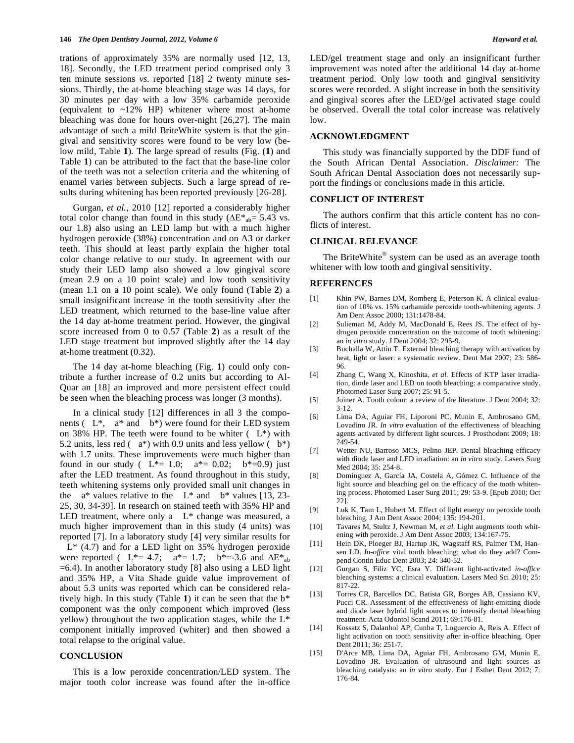trations of approximately 35% are normally used [12, 13, 18]. Secondly, the LED treatment period comprised only 3 ten minute sessions *vs.* reported [18] 2 twenty minute sessions. Thirdly, the at-home bleaching stage was 14 days, for 30 minutes per day with a low 35% carbamide peroxide (equivalent to ~12% HP) whitener where most at-home bleaching was done for hours over-night [26,27]. The main advantage of such a mild BriteWhite system is that the gingival and sensitivity scores were found to be very low (below mild, Table **1**). The large spread of results (Fig. (**1**) and Table **1**) can be attributed to the fact that the base-line color of the teeth was not a selection criteria and the whitening of enamel varies between subjects. Such a large spread of results during whitening has been reported previously [26-28].

Gurgan, *et al.*, 2010 [12] reported a considerably higher total color change than found in this study ( $\Delta E^*_{ab} = 5.43$  vs. our 1.8) also using an LED lamp but with a much higher hydrogen peroxide (38%) concentration and on A3 or darker teeth. This should at least partly explain the higher total color change relative to our study. In agreement with our study their LED lamp also showed a low gingival score (mean 2.9 on a 10 point scale) and low tooth sensitivity (mean 1.1 on a 10 point scale). We only found (Table **2**) a small insignificant increase in the tooth sensitivity after the LED treatment, which returned to the base-line value after the 14 day at-home treatment period. However, the gingival score increased from 0 to 0.57 (Table **2**) as a result of the LED stage treatment but improved slightly after the 14 day at-home treatment (0.32).

The 14 day at-home bleaching (Fig. **1**) could only contribute a further increase of 0.2 units but according to Al-Quar an [18] an improved and more persistent effect could be seen when the bleaching process was longer (3 months).

In a clinical study [12] differences in all 3 the components ( $L^*$ ,  $a^*$  and  $b^*$ ) were found for their LED system on 38% HP. The teeth were found to be whiter  $(L^*)$  with 5.2 units, less red  $(a*)$  with 0.9 units and less yellow  $(b*)$ with 1.7 units. These improvements were much higher than found in our study ( $L^* = 1.0$ ;  $a^* = 0.02$ ;  $b^* = 0.9$ ) just after the LED treatment. As found throughout in this study, teeth whitening systems only provided small unit changes in the  $a^*$  values relative to the  $L^*$  and  $b^*$  values [13, 23-25, 30, 34-39]. In research on stained teeth with 35% HP and LED treatment, where only a  $L^*$  change was measured, a much higher improvement than in this study (4 units) was reported [7]. In a laboratory study [4] very similar results for L\* (4.7) and for a LED light on 35% hydrogen peroxide were reported (  $L^* = 4.7$ ;  $a^* = 1.7$ ;  $b^* = -3.6$  and  $\Delta E^*$ <sub>ab</sub> =6.4). In another laboratory study [8] also using a LED light and 35% HP, a Vita Shade guide value improvement of about 5.3 units was reported which can be considered relatively high. In this study (Table **1**) it can be seen that the b\* component was the only component which improved (less yellow) throughout the two application stages, while the L\*

### **CONCLUSION**

total relapse to the original value.

This is a low peroxide concentration/LED system. The major tooth color increase was found after the in-office

component initially improved (whiter) and then showed a

LED/gel treatment stage and only an insignificant further improvement was noted after the additional 14 day at-home treatment period. Only low tooth and gingival sensitivity scores were recorded. A slight increase in both the sensitivity and gingival scores after the LED/gel activated stage could be observed. Overall the total color increase was relatively low.

# **ACKNOWLEDGMENT**

This study was financially supported by the DDF fund of the South African Dental Association. *Disclaimer:* The South African Dental Association does not necessarily support the findings or conclusions made in this article.

### **CONFLICT OF INTEREST**

The authors confirm that this article content has no conflicts of interest.

# **CLINICAL RELEVANCE**

The BriteWhite<sup>®</sup> system can be used as an average tooth whitener with low tooth and gingival sensitivity.

# **REFERENCES**

- [1] Khin PW, Barnes DM, Romberg E, Peterson K. A clinical evaluation of 10% vs. 15% carbamide peroxide tooth-whitening agents. J Am Dent Assoc 2000; 131:1478-84.
- [2] Sulieman M, Addy M, MacDonald E, Rees JS. The effect of hydrogen peroxide concentration on the outcome of tooth whitening: an *in vitro* study. J Dent 2004; 32: 295-9.
- [3] Buchalla W, Attin T. External bleaching therapy with activation by heat, light or laser: a systematic review. Dent Mat 2007; 23: 586- 96.
- [4] Zhang C, Wang X, Kinoshita, *et al.* Effects of KTP laser irradiation, diode laser and LED on tooth bleaching: a comparative study. Photomed Laser Surg 2007; 25: 91-5.
- [5] Joiner A. Tooth colour: a review of the literature. J Dent 2004; 32: 3-12.
- [6] Lima DA, Aguiar FH, Liporoni PC, Munin E, Ambrosano GM, Lovadino JR. *In vitro* evaluation of the effectiveness of bleaching agents activated by different light sources. J Prosthodont 2009; 18: 249-54.
- [7] Wetter NU, Barroso MCS, Pelino JEP. Dental bleaching efficacy with diode laser and LED irradiation: an *in vitro* study. Lasers Surg Med 2004; 35: 254-8.
- [8] Domínguez A, García JA, Costela A, Gómez C. Influence of the light source and bleaching gel on the efficacy of the tooth whitening process. Photomed Laser Surg 2011; 29: 53-9. [Epub 2010; Oct 22].
- [9] Luk K, Tam L, Hubert M. Effect of light energy on peroxide tooth bleaching. J Am Dent Assoc 2004; 135: 194-201.
- [10] Tavares M, Stultz J, Newman M, *et al*. Light augments tooth whitening with peroxide. J Am Dent Assoc 2003; 134:167-75.
- [11] Hein DK, Ploeger BJ, Hartup JK, Wagstaff RS, Palmer TM, Hansen LD. *In-office* vital tooth bleaching: what do they add? Compend Contin Educ Dent 2003; 24: 340-52.
- [12] Gurgan S, Filiz YC, Esra Y. Different light-activated *in-office* bleaching systems: a clinical evaluation. Lasers Med Sci 2010; 25: 817-22.
- [13] Torres CR, Barcellos DC, Batista GR, Borges AB, Cassiano KV, Pucci CR. Assessment of the effectiveness of light-emitting diode and diode laser hybrid light sources to intensify dental bleaching treatment. Acta Odontol Scand 2011; 69:176-81.
- [14] Kossatz S, Dalanhol AP, Cunha T, Loguercio A, Reis A. Effect of light activation on tooth sensitivity after in-office bleaching. Oper Dent 2011; 36: 251-7.
- [15] D'Arce MB, Lima DA, Aguiar FH, Ambrosano GM, Munin E, Lovadino JR. Evaluation of ultrasound and light sources as bleaching catalysts: an *in vitro* study. Eur J Esthet Dent 2012; 7: 176-84.